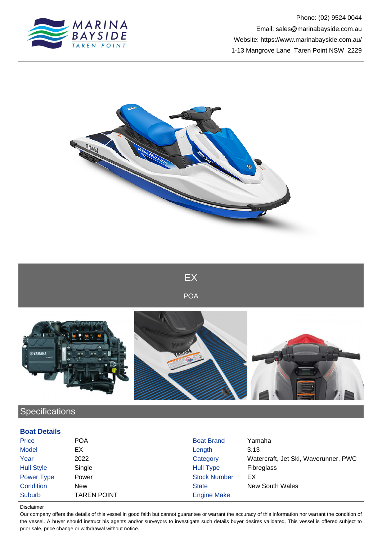



EX

POA



## **Specifications**

## **Boat Details**

| Price             | <b>POA</b>         | <b>Boat Brand</b>   | Yamaha                               |
|-------------------|--------------------|---------------------|--------------------------------------|
| <b>Model</b>      | EX                 | Length              | 3.13                                 |
| Year              | 2022               | Category            | Watercraft, Jet Ski, Waverunner, PWC |
| <b>Hull Style</b> | Single             | Hull Type           | <b>Fibreglass</b>                    |
| Power Type        | Power              | <b>Stock Number</b> | EX                                   |
| Condition         | <b>New</b>         | <b>State</b>        | <b>New South Wales</b>               |
| Suburb            | <b>TAREN POINT</b> | <b>Engine Make</b>  |                                      |

## Disclaimer

Our company offers the details of this vessel in good faith but cannot guarantee or warrant the accuracy of this information nor warrant the condition of the vessel. A buyer should instruct his agents and/or surveyors to investigate such details buyer desires validated. This vessel is offered subject to prior sale, price change or withdrawal without notice.